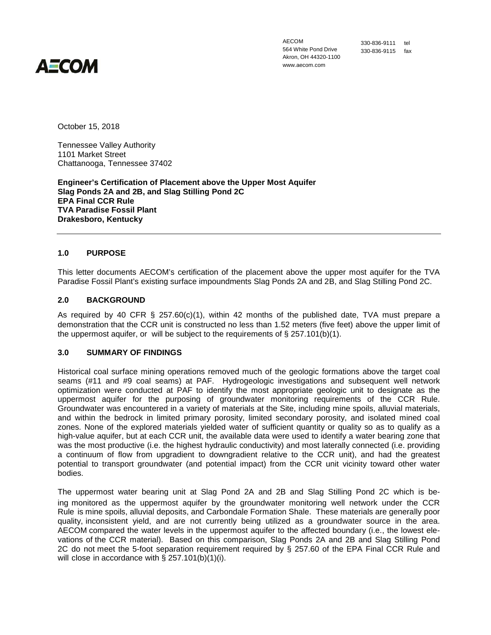

AECOM 564 White Pond Drive Akron, OH 44320-1100 www.aecom.com

330-836-9111 tel 330-836-9115 fax

October 15, 2018

Tennessee Valley Authority 1101 Market Street Chattanooga, Tennessee 37402

**Engineer's Certification of Placement above the Upper Most Aquifer Slag Ponds 2A and 2B, and Slag Stilling Pond 2C EPA Final CCR Rule TVA Paradise Fossil Plant Drakesboro, Kentucky**

## **1.0 PURPOSE**

This letter documents AECOM's certification of the placement above the upper most aquifer for the TVA Paradise Fossil Plant's existing surface impoundments Slag Ponds 2A and 2B, and Slag Stilling Pond 2C.

## **2.0 BACKGROUND**

As required by 40 CFR  $\S$  257.60(c)(1), within 42 months of the published date, TVA must prepare a demonstration that the CCR unit is constructed no less than 1.52 meters (five feet) above the upper limit of the uppermost aquifer, or will be subject to the requirements of  $\S$  257.101(b)(1).

## **3.0 SUMMARY OF FINDINGS**

Historical coal surface mining operations removed much of the geologic formations above the target coal seams (#11 and #9 coal seams) at PAF. Hydrogeologic investigations and subsequent well network optimization were conducted at PAF to identify the most appropriate geologic unit to designate as the uppermost aquifer for the purposing of groundwater monitoring requirements of the CCR Rule. Groundwater was encountered in a variety of materials at the Site, including mine spoils, alluvial materials, and within the bedrock in limited primary porosity, limited secondary porosity, and isolated mined coal zones. None of the explored materials yielded water of sufficient quantity or quality so as to qualify as a high-value aquifer, but at each CCR unit, the available data were used to identify a water bearing zone that was the most productive (i.e. the highest hydraulic conductivity) and most laterally connected (i.e. providing a continuum of flow from upgradient to downgradient relative to the CCR unit), and had the greatest potential to transport groundwater (and potential impact) from the CCR unit vicinity toward other water bodies.

The uppermost water bearing unit at Slag Pond 2A and 2B and Slag Stilling Pond 2C which is being monitored as the uppermost aquifer by the groundwater monitoring well network under the CCR Rule is mine spoils, alluvial deposits, and Carbondale Formation Shale. These materials are generally poor quality, inconsistent yield, and are not currently being utilized as a groundwater source in the area. AECOM compared the water levels in the uppermost aquifer to the affected boundary (i.e., the lowest elevations of the CCR material). Based on this comparison, Slag Ponds 2A and 2B and Slag Stilling Pond 2C do not meet the 5-foot separation requirement required by § 257.60 of the EPA Final CCR Rule and will close in accordance with  $\S$  257.101(b)(1)(i).